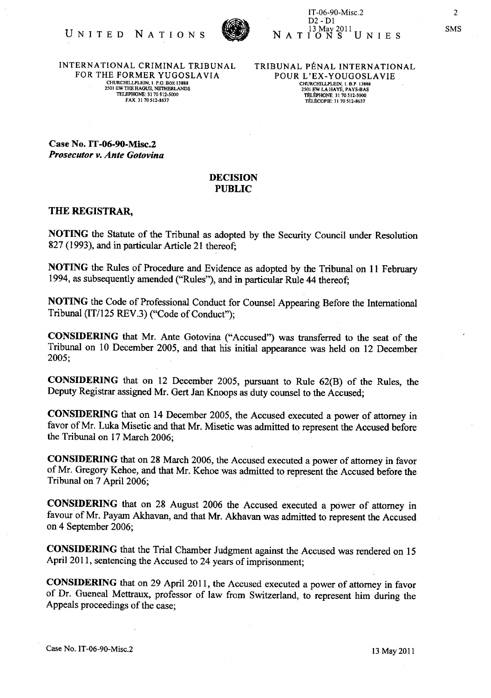

INTERNATIONAL CRIMINAL TRIBUNAL FOR THE FORMER YUGOSLAVIA CHURCHILLPLEIN, I. P.O. BOX 13888 2501 EW THE HAGUE. NETIlERLANDS TELEPHONE: 3170512-5000 FAX. 3170512-8637

TRIBUNAL PENAL INTERNATIONAL POUR L'EX-YOUGOSLAVIE CHURCHILLPLEIN, 1. B.P. 13888<br>2501 EW LA HAYE, PAYS-BAS TELEPHONE 31 70 512-5000 TELEcOPlE: 31 70512-8637

Case No. IT -06-90-Misc.2 *Prosecutor v. Ante Gotovina* 

## DECISION PUBLIC

## THE REGISTRAR,

NOTING the Statute of the Tribunal as adopted by the Security Council under Resolution 827 (1993), and in particular Article 21 thereof;

NOTING the Rules of Procedure and Evidence as adopted by the Tribunal on 11 February 1994, as subsequently amended ("Rules"), and in particular Rule 44 thereof;

NOTING the Code of Professional Conduct for Counsel Appearing Before the International Tribunal (IT/125 REV.3) ("Code of Conduct");

CONSIDERING that Mr. Ante Gotovina ("Accused") was transferred to the seat of the Tribunal on 10 December 2005, and that his initial appearance was held on 12 December 2005;

CONSIDERING that on 12 December 2005, pursuant to Rule 62(B) of the Rules, the Deputy Registrar assigned Mr. Gert Jan Knoops as duty counsel to the Accused;

CONSIDERING that on 14 December 2005, the Accused executed a power of attorney in favor of Mr. Luka Misetic and that Mr. Misetic was admitted to represent the Accused before the Tribunal on 17 March 2006;

CONSIDERING that on 28 March 2006, the Accused executed a power of attorney in favor of Mr. Gregory Kehoe, and that Mr. Kehoe was admitted to represent the Accused before the Tribunal on 7 April 2006;

CONSIDERING that on 28 August 2006 the Accused executed a power of attorney in favour of Mr. Payam Akhavan, and that Mr. Akhavan was admitted to represent the Accused on 4 September 2006;

CONSIDERING that the Trial Chamber Judgment against the Accused was rendered on 15 April 2011, sentencing the Accused to 24 years of imprisonment;

CONSIDERING that on 29 April 2011, the Accused executed a power of attorney in favor of Dr. Gueneal Mettraux, professor of law from Switzerland, to represent him during the Appeals proceedings of the case;

Case No. IT-06-90-Misc.2 13 May 2011